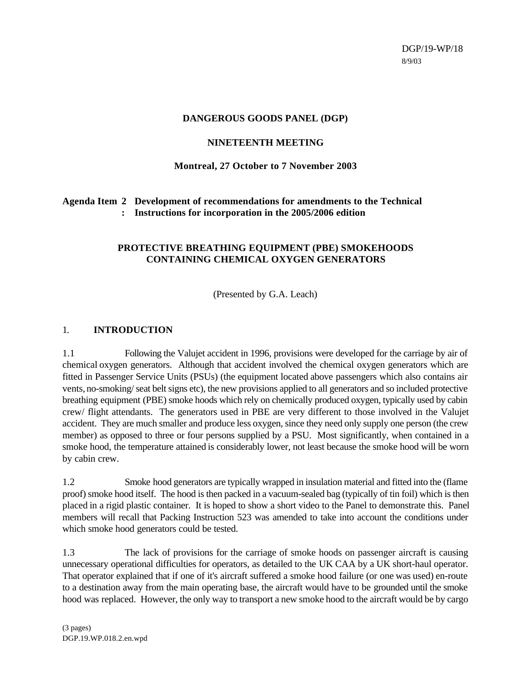## **DANGEROUS GOODS PANEL (DGP)**

## **NINETEENTH MEETING**

### **Montreal, 27 October to 7 November 2003**

# **Agenda Item 2 Development of recommendations for amendments to the Technical : Instructions for incorporation in the 2005/2006 edition**

# **PROTECTIVE BREATHING EQUIPMENT (PBE) SMOKEHOODS CONTAINING CHEMICAL OXYGEN GENERATORS**

(Presented by G.A. Leach)

## 1. **INTRODUCTION**

1.1 Following the Valujet accident in 1996, provisions were developed for the carriage by air of chemical oxygen generators. Although that accident involved the chemical oxygen generators which are fitted in Passenger Service Units (PSUs) (the equipment located above passengers which also contains air vents, no-smoking/ seat belt signs etc), the new provisions applied to all generators and so included protective breathing equipment (PBE) smoke hoods which rely on chemically produced oxygen, typically used by cabin crew/ flight attendants. The generators used in PBE are very different to those involved in the Valujet accident. They are much smaller and produce less oxygen, since they need only supply one person (the crew member) as opposed to three or four persons supplied by a PSU. Most significantly, when contained in a smoke hood, the temperature attained is considerably lower, not least because the smoke hood will be worn by cabin crew.

1.2 Smoke hood generators are typically wrapped in insulation material and fitted into the (flame proof) smoke hood itself. The hood is then packed in a vacuum-sealed bag (typically of tin foil) which is then placed in a rigid plastic container. It is hoped to show a short video to the Panel to demonstrate this. Panel members will recall that Packing Instruction 523 was amended to take into account the conditions under which smoke hood generators could be tested.

1.3 The lack of provisions for the carriage of smoke hoods on passenger aircraft is causing unnecessary operational difficulties for operators, as detailed to the UK CAA by a UK short-haul operator. That operator explained that if one of it's aircraft suffered a smoke hood failure (or one was used) en-route to a destination away from the main operating base, the aircraft would have to be grounded until the smoke hood was replaced. However, the only way to transport a new smoke hood to the aircraft would be by cargo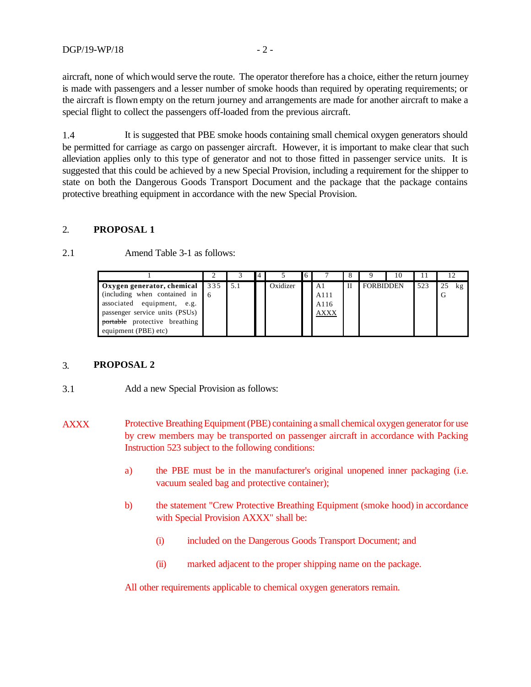aircraft, none of which would serve the route. The operator therefore has a choice, either the return journey is made with passengers and a lesser number of smoke hoods than required by operating requirements; or the aircraft is flown empty on the return journey and arrangements are made for another aircraft to make a special flight to collect the passengers off-loaded from the previous aircraft.

1.4 It is suggested that PBE smoke hoods containing small chemical oxygen generators should be permitted for carriage as cargo on passenger aircraft. However, it is important to make clear that such alleviation applies only to this type of generator and not to those fitted in passenger service units. It is suggested that this could be achieved by a new Special Provision, including a requirement for the shipper to state on both the Dangerous Goods Transport Document and the package that the package contains protective breathing equipment in accordance with the new Special Provision.

#### 2. **PROPOSAL 1**

| 2.1 | Amend Table 3-1 as follows: |  |
|-----|-----------------------------|--|
|     |                             |  |

|                                           |  |          | 6 |             |   |                  | 10 |     | $\mathbf{1} \mathbf{2}$ |  |
|-------------------------------------------|--|----------|---|-------------|---|------------------|----|-----|-------------------------|--|
| <b>Oxygen generator, chemical</b> 335 5.1 |  | Oxidizer |   | A1          | П | <b>FORBIDDEN</b> |    | 523 | 25<br>kg                |  |
| (including when contained in 6)           |  |          |   | A111        |   |                  |    |     | G                       |  |
| associated equipment, e.g.                |  |          |   | A116        |   |                  |    |     |                         |  |
| passenger service units (PSUs)            |  |          |   | <b>AXXX</b> |   |                  |    |     |                         |  |
| <b>portable</b> protective breathing      |  |          |   |             |   |                  |    |     |                         |  |
| equipment (PBE) etc)                      |  |          |   |             |   |                  |    |     |                         |  |

### 3. **PROPOSAL 2**

- 3.1 Add a new Special Provision as follows:
- AXXX Protective Breathing Equipment (PBE) containing a small chemical oxygen generator for use by crew members may be transported on passenger aircraft in accordance with Packing Instruction 523 subject to the following conditions:
	- a) the PBE must be in the manufacturer's original unopened inner packaging (i.e. vacuum sealed bag and protective container);
	- b) the statement "Crew Protective Breathing Equipment (smoke hood) in accordance with Special Provision AXXX" shall be:
		- (i) included on the Dangerous Goods Transport Document; and
		- (ii) marked adjacent to the proper shipping name on the package.

All other requirements applicable to chemical oxygen generators remain.